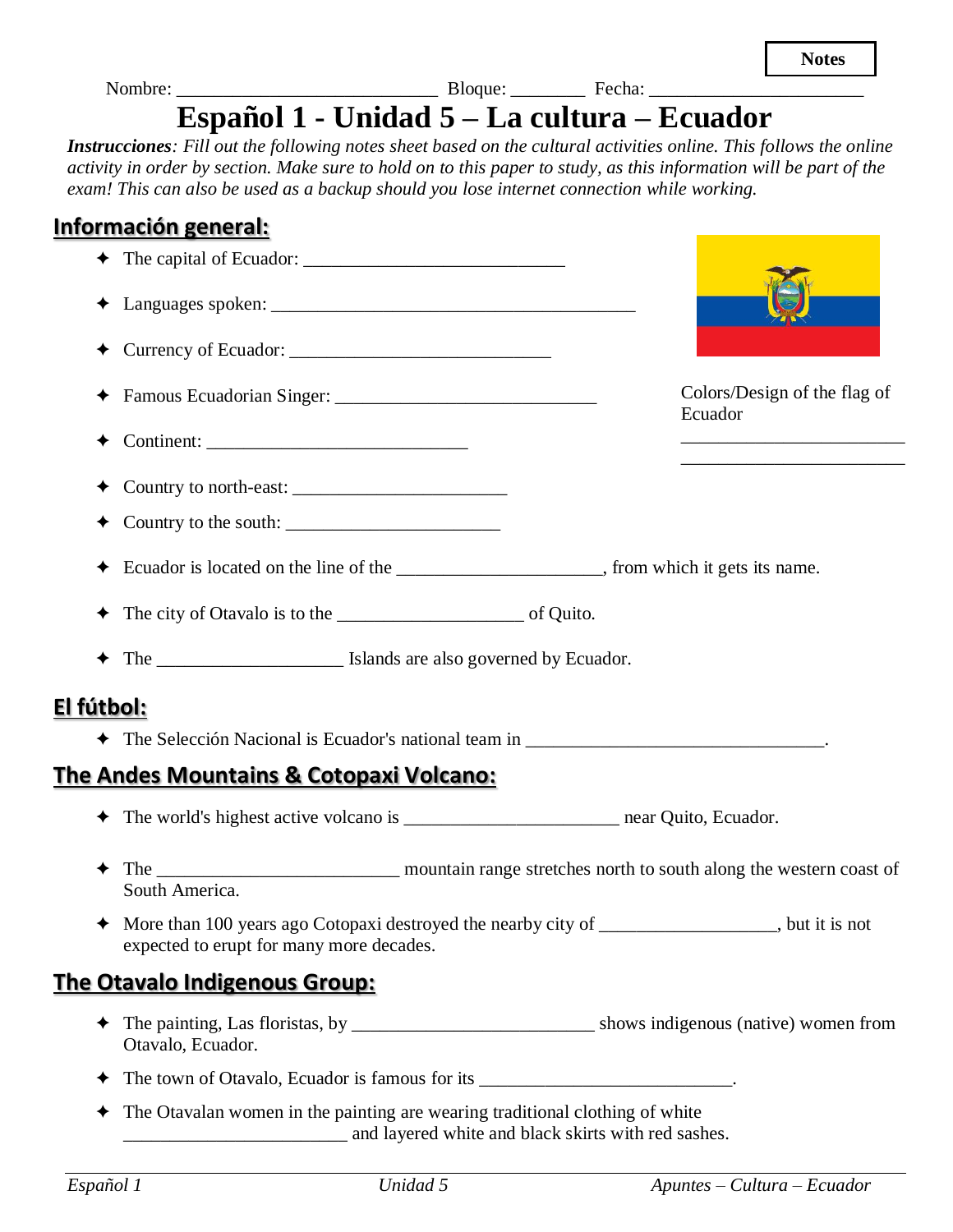| <b>Instrucciones</b> : Fill out the following notes sheet based on the cultural activities online. This follows the online<br>activity in order by section. Make sure to hold on to this paper to study, as this information will be part of the<br>exam! This can also be used as a backup should you lose internet connection while working. | Español 1 - Unidad 5 – La cultura – Ecuador |
|------------------------------------------------------------------------------------------------------------------------------------------------------------------------------------------------------------------------------------------------------------------------------------------------------------------------------------------------|---------------------------------------------|
| <u>Información general:</u>                                                                                                                                                                                                                                                                                                                    |                                             |
|                                                                                                                                                                                                                                                                                                                                                |                                             |
|                                                                                                                                                                                                                                                                                                                                                |                                             |
|                                                                                                                                                                                                                                                                                                                                                |                                             |
|                                                                                                                                                                                                                                                                                                                                                | Colors/Design of the flag of<br>Ecuador     |
|                                                                                                                                                                                                                                                                                                                                                |                                             |
|                                                                                                                                                                                                                                                                                                                                                |                                             |
| $\triangleleft$ Ecuador is located on the line of the                                                                                                                                                                                                                                                                                          | , from which it gets its name.              |

- ✦ The city of Otavalo is to the \_\_\_\_\_\_\_\_\_\_\_\_\_\_\_\_\_\_\_\_ of Quito.
- ✦ The \_\_\_\_\_\_\_\_\_\_\_\_\_\_\_\_\_\_\_\_ Islands are also governed by Ecuador.

### **El fútbol:**

✦ The Selección Nacional is Ecuador's national team in \_\_\_\_\_\_\_\_\_\_\_\_\_\_\_\_\_\_\_\_\_\_\_\_\_\_\_\_\_\_\_\_.

# **The Andes Mountains & Cotopaxi Volcano:**

- ✦ The world's highest active volcano is \_\_\_\_\_\_\_\_\_\_\_\_\_\_\_\_\_\_\_\_\_\_\_ near Quito, Ecuador.
- ✦ The \_\_\_\_\_\_\_\_\_\_\_\_\_\_\_\_\_\_\_\_\_\_\_\_\_\_ mountain range stretches north to south along the western coast of South America.
- ✦ More than 100 years ago Cotopaxi destroyed the nearby city of \_\_\_\_\_\_\_\_\_\_\_\_\_\_\_\_\_\_\_, but it is not expected to erupt for many more decades.

### **The Otavalo Indigenous Group:**

- ✦ The painting, Las floristas, by \_\_\_\_\_\_\_\_\_\_\_\_\_\_\_\_\_\_\_\_\_\_\_\_\_\_ shows indigenous (native) women from Otavalo, Ecuador.
- ✦ The town of Otavalo, Ecuador is famous for its \_\_\_\_\_\_\_\_\_\_\_\_\_\_\_\_\_\_\_\_\_\_\_\_\_\_\_.
- ✦ The Otavalan women in the painting are wearing traditional clothing of white and layered white and black skirts with red sashes.

**Notes**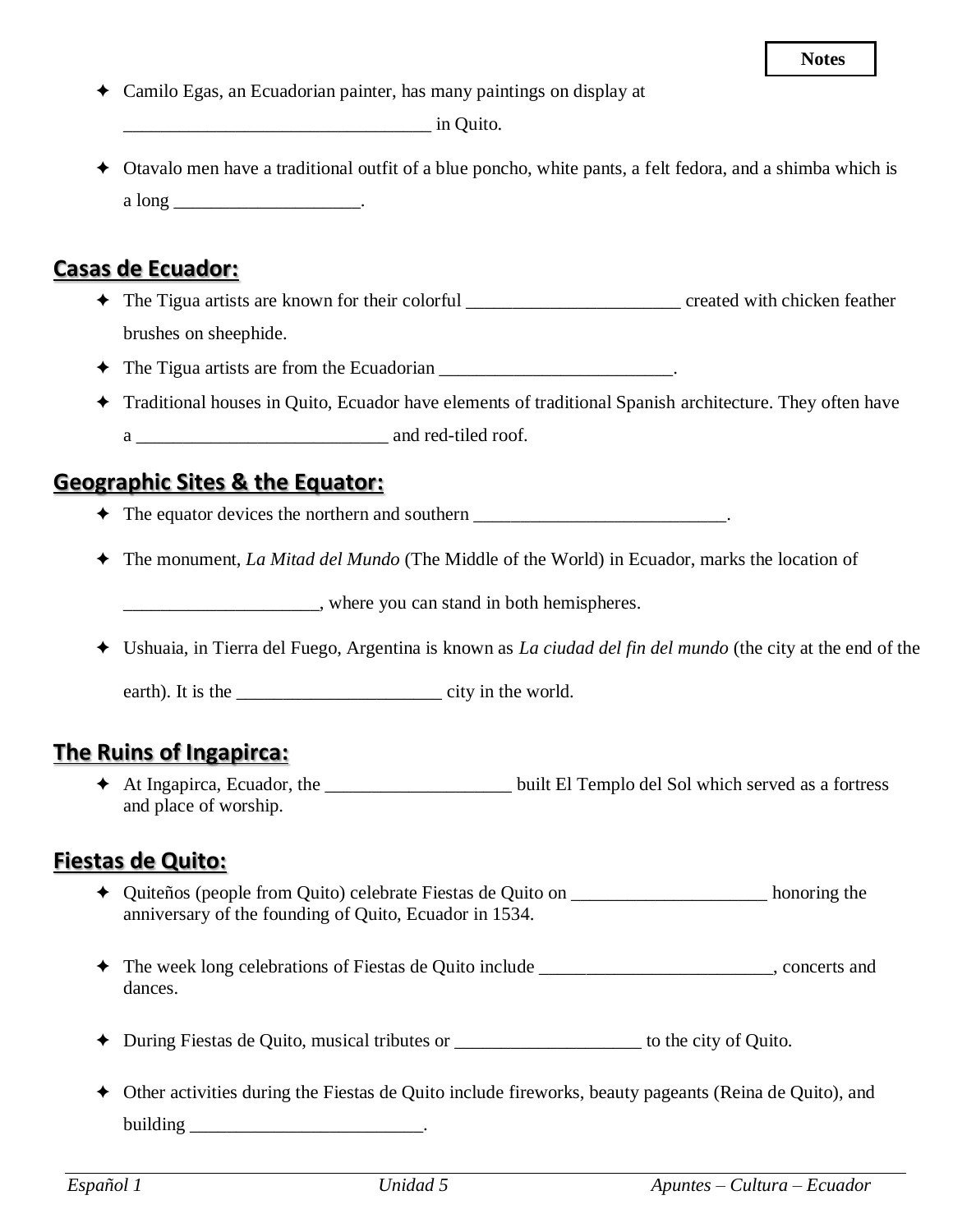✦ Camilo Egas, an Ecuadorian painter, has many paintings on display at

 $\Box$  in Ouito.

✦ Otavalo men have a traditional outfit of a blue poncho, white pants, a felt fedora, and a shimba which is  $a \text{ long }$  \_\_\_\_\_\_\_\_\_\_\_\_\_\_\_\_\_\_\_\_\_\_.

#### **Casas de Ecuador:**

- ✦ The Tigua artists are known for their colorful \_\_\_\_\_\_\_\_\_\_\_\_\_\_\_\_\_\_\_\_\_\_\_ created with chicken feather brushes on sheephide.
- ✦ The Tigua artists are from the Ecuadorian \_\_\_\_\_\_\_\_\_\_\_\_\_\_\_\_\_\_\_\_\_\_\_\_\_.
- ✦ Traditional houses in Quito, Ecuador have elements of traditional Spanish architecture. They often have a and red-tiled roof.

### **Geographic Sites & the Equator:**

- ✦ The equator devices the northern and southern \_\_\_\_\_\_\_\_\_\_\_\_\_\_\_\_\_\_\_\_\_\_\_\_\_\_\_.
- ✦ The monument, *La Mitad del Mundo* (The Middle of the World) in Ecuador, marks the location of

\_\_\_\_\_\_\_\_\_\_\_\_\_\_\_\_\_\_\_\_\_, where you can stand in both hemispheres.

✦ Ushuaia, in Tierra del Fuego, Argentina is known as *La ciudad del fin del mundo* (the city at the end of the

earth). It is the \_\_\_\_\_\_\_\_\_\_\_\_\_\_\_\_\_\_\_\_\_\_ city in the world.

#### **The Ruins of Ingapirca:**

✦ At Ingapirca, Ecuador, the \_\_\_\_\_\_\_\_\_\_\_\_\_\_\_\_\_\_\_\_ built El Templo del Sol which served as a fortress and place of worship.

### **Fiestas de Quito:**

- ✦ Quiteños (people from Quito) celebrate Fiestas de Quito on \_\_\_\_\_\_\_\_\_\_\_\_\_\_\_\_\_\_\_\_\_ honoring the anniversary of the founding of Quito, Ecuador in 1534.
- ✦ The week long celebrations of Fiestas de Quito include \_\_\_\_\_\_\_\_\_\_\_\_\_\_\_\_\_\_\_\_\_\_\_\_\_, concerts and dances.
- ✦ During Fiestas de Quito, musical tributes or \_\_\_\_\_\_\_\_\_\_\_\_\_\_\_\_\_\_\_\_ to the city of Quito.
- ✦ Other activities during the Fiestas de Quito include fireworks, beauty pageants (Reina de Quito), and building  $\Box$